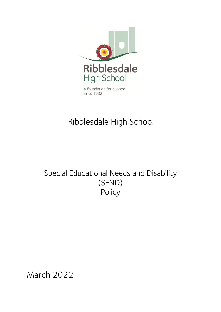

# Ribblesdale High School

## Special Educational Needs and Disability (SEND) Policy

March 2022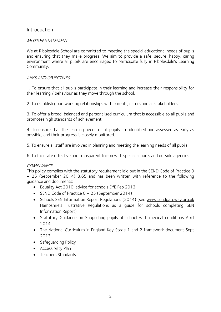## Introduction

### MISSION STATEMENT

We at Ribblesdale School are committed to meeting the special educational needs of pupils and ensuring that they make progress. We aim to provide a safe, secure, happy, caring environment where all pupils are encouraged to participate fully in Ribblesdale's Learning Community.

## AIMS AND OBJECTIVES

1. To ensure that all pupils participate in their learning and increase their responsibility for their learning / behaviour as they move through the school.

2. To establish good working relationships with parents, carers and all stakeholders.

3. To offer a broad, balanced and personalised curriculum that is accessible to all pupils and promotes high standards of achievement.

4. To ensure that the learning needs of all pupils are identified and assessed as early as possible, and their progress is closely monitored.

5. To ensure all staff are involved in planning and meeting the learning needs of all pupils.

6. To facilitate effective and transparent liaison with special schools and outside agencies.

#### **COMPLIANCE**

This policy complies with the statutory requirement laid out in the SEND Code of Practice 0 – 25 (September 2014) 3.65 and has been written with reference to the following guidance and documents:

- Equality Act 2010: advice for schools DfE Feb 2013
- SEND Code of Practice 0 25 (September 2014)
- Schools SEN Information Report Regulations (2014) (see [www.sendgateway.org.uk](http://www.sendgateway.org.uk/) Hampshire's Illustrative Regulations as a guide for schools completing SEN Information Report)
- Statutory Guidance on Supporting pupils at school with medical conditions April 2014
- The National Curriculum in England Key Stage 1 and 2 framework document Sept 2013
- Safeguarding Policy
- Accessibility Plan
- Teachers Standards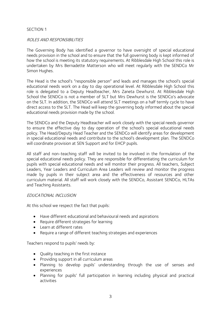#### SECTION 1

#### ROLES AND RESPONSIBILITIES

The Governing Body has identified a governor to have oversight of special educational needs provision in the school and to ensure that the full governing body is kept informed of how the school is meeting its statutory requirements. At Ribblesdale High School this role is undertaken by Mrs Bernadette Matterson who will meet regularly with the SENDCo Mr Simon Hughes.

The Head is the school's "responsible person" and leads and manages the school's special educational needs work on a day to day operational level. At Ribblesdale High School this role is delegated to a Deputy Headteacher, Mrs Zaneta Dewhurst. At Ribblesdale High School the SENDCo is not a member of SLT but Mrs Dewhurst is the SENDCo's advocate on the SLT. In addition, the SENDCo will attend SLT meetings on a half termly cycle to have direct access to the SLT. The Head will keep the governing body informed about the special educational needs provision made by the school.

The SENDCo and the Deputy Headteacher will work closely with the special needs governor to ensure the effective day to day operation of the school's special educational needs policy. The Head/Deputy Head Teacher and the SENDCo will identify areas for development in special educational needs and contribute to the school's development plan. The SENDCo will coordinate provision at SEN Support and for EHCP pupils.

All staff and non-teaching staff will be invited to be involved in the formulation of the special educational needs policy. They are responsible for differentiating the curriculum for pupils with special educational needs and will monitor their progress. All teachers, Subject Leaders, Year Leaders and Curriculum Area Leaders will review and monitor the progress made by pupils in their subject area and the effectiveness of resources and other curriculum material. All staff will work closely with the SENDCo, Assistant SENDCo, HLTAs and Teaching Assistants.

#### EDUCATIONAL INCLUSION

At this school we respect the fact that pupils:

- Have different educational and behavioural needs and aspirations
- Require different strategies for learning
- Learn at different rates
- Require a range of different teaching strategies and experiences

Teachers respond to pupils' needs by:

- Quality teaching in the first instance
- Providing support in all curriculum areas
- Planning to develop pupils' understanding through the use of senses and experiences
- Planning for pupils' full participation in learning including physical and practical activities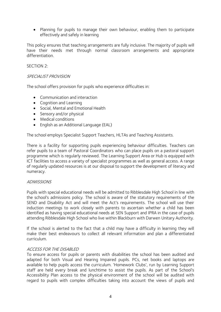• Planning for pupils to manage their own behaviour, enabling them to participate effectively and safely in learning

This policy ensures that teaching arrangements are fully inclusive. The majority of pupils will have their needs met through normal classroom arrangements and appropriate differentiation.

### SECTION 2:

#### SPECIALIST PROVISION

The school offers provision for pupils who experience difficulties in:

- Communication and interaction
- Cognition and Learning
- Social, Mental and Emotional Health
- Sensory and/or physical
- Medical conditions
- English as an Additional Language (EAL)

The school employs Specialist Support Teachers, HLTAs and Teaching Assistants.

There is a facility for supporting pupils experiencing behaviour difficulties. Teachers can refer pupils to a team of Pastoral Coordinators who can place pupils on a pastoral support programme which is regularly reviewed. The Learning Support Area or Hub is equipped with ICT facilities to access a variety of specialist programmes as well as general access. A range of regularly updated resources is at our disposal to support the development of literacy and numeracy.

#### ADMISSIONS

Pupils with special educational needs will be admitted to Ribblesdale High School in line with the school's admissions policy. The school is aware of the statutory requirements of the SEND and Disability Act and will meet the Act's requirements. The school will use their induction meetings to work closely with parents to ascertain whether a child has been identified as having special educational needs at SEN Support and IPRA in the case of pupils attending Ribblesdale High School who live within Blackburn with Darwen Unitary Authority.

If the school is alerted to the fact that a child may have a difficulty in learning they will make their best endeavours to collect all relevant information and plan a differentiated curriculum.

## ACCESS FOR THE DISABLED

To ensure access for pupils or parents with disabilities the school has been audited and adapted for both Visual and Hearing Impaired pupils. PCs, net books and laptops are available to help pupils access the curriculum. 'Homework Clubs', run by Learning Support staff are held every break and lunchtime to assist the pupils. As part of the School's Accessibility Plan access to the physical environment of the school will be audited with regard to pupils with complex difficulties taking into account the views of pupils and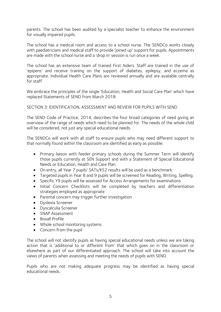parents. The school has been audited by a specialist teacher to enhance the environment for visually impaired pupils.

The school has a medical room and access to a school nurse. The SENDCo works closely with paediatricians and medical staff to provide 'joined up' support for pupils. Appointments are made with the school nurse and a 'drop in' session is run once a week.

The school has an extensive team of trained First Aiders. Staff are trained in the use of 'epipens' and receive training on the support of diabetes, epilepsy, and eczema as appropriate. Individual Health Care Plans are reviewed annually and are available centrally for staff.

We embrace the principles of the single 'Education, Health and Social Care Plan' which have replaced Statements of SEND from March 2018.

## SECTION 3: IDENTIFICATION, ASSESSMENT AND REVIEW FOR PUPILS WITH SEND

The SEND Code of Practice, 2014, describes the four broad categories of need giving an overview of the range of needs which need to be planned for. The needs of the whole child will be considered, not just any special educational needs.

The SENDCo will work with all staff to ensure pupils who may need different support to that normally found within the classroom are identified as early as possible.

- Primary liaison with feeder primary schools during the Summer Term will identify those pupils currently at SEN Support and with a Statement of Special Educational Needs or Education, Health and Care Plan.
- On entry, all Year 7 pupils' SATs/KS2 results will be used as a benchmark.
- Targeted pupils in Year 8 and 9 pupils will be screened for Reading, Writing, Spelling.
- Specific Y9 pupils will be assessed for Access Arrangements for examinations
- Initial Concern Checklists will be completed by teachers and differentiation strategies employed as appropriate
- Parental concern may trigger further investigation
- Dyslexia Screener
- Dyscalculia Screener
- SNAP Assessment
- Boxall Profile
- Whole school monitoring systems
- Concern from the pupil

The school will not identify pupils as having special educational needs unless we are taking action that is 'additional to or different from' that which goes on in the classroom or elsewhere as part of our differentiated approach. The school will take into account the views of parents when assessing and meeting the needs of pupils with SEND.

Pupils who are not making adequate progress may be identified as having special educational needs.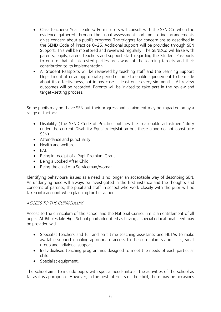- Class teachers/ Year Leaders/ Form Tutors will consult with the SENDCo when the evidence gathered through the usual assessment and monitoring arrangements gives concern about a pupil's progress. The triggers for concern are as described in the SEND Code of Practice 0-25. Additional support will be provided through SEN Support. This will be monitored and reviewed regularly. The SENDCo will liaise with parents, pupils, carers, teachers and support staff regarding the Student Passports to ensure that all interested parties are aware of the learning targets and their contribution to its implementation.
- All Student Passports will be reviewed by teaching staff and the Learning Support Department after an appropriate period of time to enable a judgement to be made about its effectiveness, but in any case at least once every six months. All review outcomes will be recorded. Parents will be invited to take part in the review and target–setting process.

Some pupils may not have SEN but their progress and attainment may be impacted on by a range of factors:

- Disability (The SEND Code of Practice outlines the 'reasonable adjustment' duty under the current Disability Equality legislation but these alone do not constitute SEN)
- Attendance and punctuality
- Health and welfare
- EAL
- Being in receipt of a Pupil Premium Grant
- Being a Looked After Child
- Being the child of a Serviceman/woman

Identifying behavioural issues as a need is no longer an acceptable way of describing SEN. An underlying need will always be investigated in the first instance and the thoughts and concerns of parents, the pupil and staff in school who work closely with the pupil will be taken into account when planning further action.

## ACCESS TO THE CURRICULUM

Access to the curriculum of the school and the National Curriculum is an entitlement of all pupils. At Ribblesdale High School pupils identified as having a special educational need may be provided with:

- Specialist teachers and full and part time teaching assistants and HLTAs to make available support enabling appropriate access to the curriculum via in-class, small group and individual support.
- Individualised teaching programmes designed to meet the needs of each particular child.
- Specialist equipment.

The school aims to include pupils with special needs into all the activities of the school as far as it is appropriate. However, in the best interests of the child, there may be occasions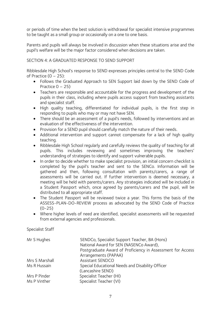or periods of time when the best solution is withdrawal for specialist intensive programmes to be taught as a small group or occasionally on a one to one basis.

Parents and pupils will always be involved in discussion when these situations arise and the pupil's welfare will be the major factor considered when decisions are taken.

## SECTION 4: A GRADUATED RESPONSE TO SEND SUPPORT

Ribblesdale High School's response to SEND expresses principles central to the SEND Code of Practice  $(0 - 25)$ :

- Follows the Graduated Approach to SEN Support laid down by the SEND Code of Practice  $0 - 25$ )
- Teachers are responsible and accountable for the progress and development of the pupils in their class, including where pupils access support from teaching assistants and specialist staff.
- High quality teaching, differentiated for individual pupils, is the first step in responding to pupils who may or may not have SEN.
- There should be an assessment of a pupil's needs, followed by interventions and an evaluation of the effectiveness of the intervention.
- Provision for a SEND pupil should carefully match the nature of their needs.
- Additional intervention and support cannot compensate for a lack of high quality teaching.
- Ribblesdale High School regularly and carefully reviews the quality of teaching for all pupils. This includes reviewing and sometimes improving the teachers' understanding of strategies to identify and support vulnerable pupils.
- In order to decide whether to make specialist provision, an initial concern checklist is completed by the pupil's teacher and sent to the SENCo. Information will be gathered and then, following consultation with parents/carers, a range of assessments will be carried out. If further intervention is deemed necessary, a meeting will be held with parents/carers. Any strategies indicated will be included in a Student Passport which, once agreed by parents/carers and the pupil, will be distributed to all appropriate staff.
- The Student Passport will be reviewed twice a year. This forms the basis of the ASSESS-PLAN-DO-REVIEW process as advocated by the SEND Code of Practice  $(0-25)$
- Where higher levels of need are identified, specialist assessments will be requested from external agencies and professionals.

Specialist Staff

| Mr S Hughes    | SENDCo, Specialist Support Teacher, BA (Hons)<br>National Award for SEN (NASENCo Award),<br>Postgraduate Award of Proficiency in Assessment for Access |
|----------------|--------------------------------------------------------------------------------------------------------------------------------------------------------|
|                | Arrangements (PAPAA)                                                                                                                                   |
| Mrs S Marshall | Assistant SENDCO                                                                                                                                       |
| Ms R Hussain   | Special Educational Needs and Disability Officer                                                                                                       |
|                | (Lancashire SEND)                                                                                                                                      |
| Mrs P Pinder   | Specialist Teacher (HI)                                                                                                                                |
| Ms P Vinther   | Specialist Teacher (VI)                                                                                                                                |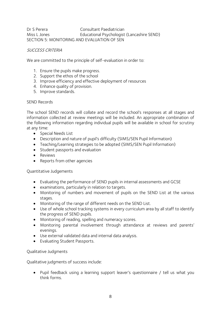Dr S Perera Consultant Paediatrician Miss L Jones Educational Psychologist (Lancashire SEND) SECTION 5: MONITORING AND EVALUATION OF SEN

## SUCCESS CRITERIA

We are committed to the principle of self-evaluation in order to:

- 1. Ensure the pupils make progress.
- 2. Support the ethos of the school
- 3. Improve efficiency and effective deployment of resources
- 4. Enhance quality of provision.
- 5. Improve standards.

## SEND Records

The school SEND records will collate and record the school's responses at all stages and information collected at review meetings will be included. An appropriate combination of the following information regarding individual pupils will be available in school for scrutiny at any time:

- Special Needs List
- Description and nature of pupil's difficulty (SIMS/SEN Pupil Information)
- Teaching/Learning strategies to be adopted (SIMS/SEN Pupil Information)
- Student passports and evaluation
- Reviews
- Reports from other agencies

## Quantitative Judgements

- Evaluating the performance of SEND pupils in internal assessments and GCSE
- examinations, particularly in relation to targets.
- Monitoring of numbers and movement of pupils on the SEND List at the various stages.
- Monitoring of the range of different needs on the SEND List.
- Use of whole school tracking systems in every curriculum area by all staff to identify the progress of SEND pupils.
- Monitoring of reading, spelling and numeracy scores.
- Monitoring parental involvement through attendance at reviews and parents' evenings.
- Use external validated data and internal data analysis.
- Evaluating Student Passports.

## Qualitative Judgments

Qualitative judgments of success include:

• Pupil feedback using a learning support leaver's questionnaire / tell us what you think forms.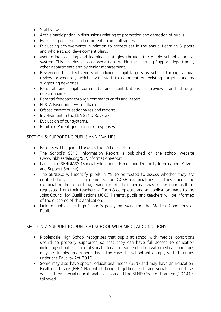- Staff views.
- Active participation in discussions relating to promotion and demotion of pupils.
- Evaluating concerns and comments from colleagues.
- Evaluating achievements in relation to targets set in the annual Learning Support and whole school development plans.
- Monitoring teaching and learning strategies through the whole school appraisal system. This includes lesson observations within the Learning Support department, other departments and by senior management.
- Reviewing the effectiveness of individual pupil targets by subject through annual review procedures, which invite staff to comment on existing targets, and by suggesting new ones.
- Parental and pupil comments and contributions at reviews and through questionnaires.
- Parental feedback through comments cards and letters.
- EPS, Advisor and LEA feedback
- Ofsted parent questionnaires and reports.
- Involvement in the LEA SEND Reviews
- Evaluation of our systems.
- Pupil and Parent questionnaire responses.

## SECTION 6: SUPPORTING PUPILS AND FAMILIES

- Parents will be guided towards the LA Local Offer.
- The School's SEND Information Report is published on the school website [\(www.ribblesdale.org/SENInformationReport](http://www.ribblesdale.org/SENInformationReport)
- Lancashire SENDIASS (Special Educational Needs and Disability Information, Advice and Support Service)
- The SENDCo will identify pupils in Y9 to be tested to assess whether they are entitled to access arrangements for GCSE examinations. If they meet the examination board criteria, evidence of their normal way of working will be requested from their teachers, a Form 8 completed and an application made to the Joint Council for Qualifications (JQC). Parents, pupils and teachers will be informed of the outcome of this application.
- Link to Ribblesdale High School's policy on Managing the Medical Conditions of Pupils.

## SECTION 7: SUPPORTING PUPILS AT SCHOOL WITH MEDICAL CONDITIONS

- Ribblesdale High School recognises that pupils at school with medical conditions should be properly supported so that they can have full access to education including school trips and physical education. Some children with medical conditions may be disabled and where this is the case the school will comply with its duties under the Equality Act 2010.
- Some may also have special educational needs (SEN) and may have an Education, Health and Care (EHC) Plan which brings together health and social care needs, as well as their special educational provision and the SEND Code of Practice (2014) is followed.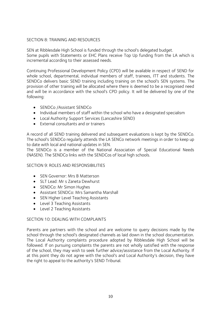## SECTION 8: TRAINING AND RESOURCES

SEN at Ribblesdale High School is funded through the school's delegated budget. Some pupils with Statements or EHC Plans receive Top Up funding from the LA which is incremental according to their assessed needs.

Continuing Professional Development Policy (CPD) will be available in respect of SEND for whole school, departmental, individual members of staff, trainees, ITT and students. The SENDCo delivers basic SEND training including training on the school's SEN systems. The provision of other training will be allocated where there is deemed to be a recognised need and will be in accordance with the school's CPD policy. It will be delivered by one of the following:

- SENDCo /Assistant SENDCo
- Individual members of staff within the school who have a designated specialism
- Local Authority Support Services (Lancashire SEND)
- External consultants and or trainers

A record of all SEND training delivered and subsequent evaluations is kept by the SENDCo. The school's SENDCo regularly attends the LA SENCo network meetings in order to keep up to date with local and national updates in SEN.

The SENDCo is a member of the National Association of Special Educational Needs (NASEN). The SENDCo links with the SENDCos of local high schools.

## SECTION 9: ROLES AND RESPONSIBILITIES

- SEN Governor: Mrs B Matterson
- SLT Lead: Mr s Zaneta Dewhurst
- SENDCo: Mr Simon Hughes
- Assistant SENDCo: Mrs Samantha Marshall
- SEN Higher Level Teaching Assistants
- Level 3 Teaching Assistants
- Level 2 Teaching Assistants

## SECTION 10: DEALING WITH COMPLAINTS

Parents are partners with the school and are welcome to query decisions made by the school through the school's designated channels as laid down in the school documentation. The Local Authority complaints procedure adopted by Ribblesdale High School will be followed. If on pursuing complaints the parents are not wholly satisfied with the response of the school, they may wish to seek further advice/assistance from the Local Authority. If at this point they do not agree with the school's and Local Authority's decision, they have the right to appeal to the authority's SEND Tribunal.